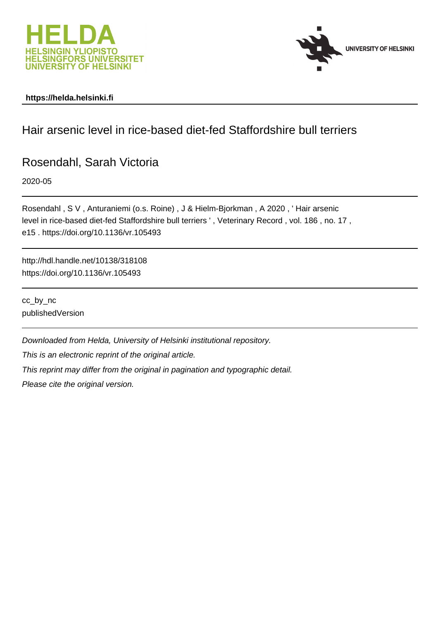



### **https://helda.helsinki.fi**

# Hair arsenic level in rice-based diet-fed Staffordshire bull terriers

## Rosendahl, Sarah Victoria

2020-05

Rosendahl , S V , Anturaniemi (o.s. Roine) , J & Hielm-Bjorkman , A 2020 , ' Hair arsenic level in rice-based diet-fed Staffordshire bull terriers ' , Veterinary Record , vol. 186 , no. 17 , e15 . https://doi.org/10.1136/vr.105493

http://hdl.handle.net/10138/318108 https://doi.org/10.1136/vr.105493

cc\_by\_nc publishedVersion

Downloaded from Helda, University of Helsinki institutional repository.

This is an electronic reprint of the original article.

This reprint may differ from the original in pagination and typographic detail.

Please cite the original version.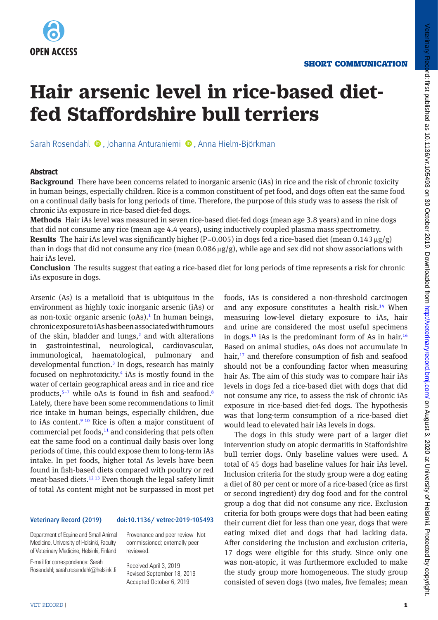

# **Hair arsenic level in rice-based dietfed Staffordshire bull terriers**

Sarah Rosendahl <sup>(D</sup>, Johanna Anturaniemi (D, Anna Hielm-Björkman

#### **Abstract**

**Background** There have been concerns related to inorganic arsenic (iAs) in rice and the risk of chronic toxicity in human beings, especially children. Rice is a common constituent of pet food, and dogs often eat the same food on a continual daily basis for long periods of time. Therefore, the purpose of this study was to assess the risk of chronic iAs exposure in rice-based diet-fed dogs.

**Methods** Hair iAs level was measured in seven rice-based diet-fed dogs (mean age 3.8 years) and in nine dogs that did not consume any rice (mean age 4.4 years), using inductively coupled plasma mass spectrometry. **Results** The hair iAs level was significantly higher ( $P=0.005$ ) in dogs fed a rice-based diet (mean 0.143 µg/g) than in dogs that did not consume any rice (mean  $0.086 \mu g/g$ ), while age and sex did not show associations with hair iAs level.

**Conclusion** The results suggest that eating a rice-based diet for long periods of time represents a risk for chronic iAs exposure in dogs.

Arsenic (As) is a metalloid that is ubiquitous in the environment as highly toxic inorganic arsenic (iAs) or as non-toxic organic arsenic  $(0As).<sup>1</sup>$  In human beings, chronic exposure to iAs has been associated with tumours of the skin, bladder and lungs,<sup>2</sup> and with alterations in gastrointestinal, neurological, cardiovascular, immunological, haematological, pulmonary and developmental function.3 In dogs, research has mainly focused on nephrotoxicity.<sup>4</sup> iAs is mostly found in the water of certain geographical areas and in rice and rice products, $5-7$  while oAs is found in fish and seafood.<sup>8</sup> Lately, there have been some recommendations to limit rice intake in human beings, especially children, due to iAs content.<sup>9 10</sup> Rice is often a major constituent of commercial pet foods,<sup>11</sup> and considering that pets often eat the same food on a continual daily basis over long periods of time, this could expose them to long-term iAs intake. In pet foods, higher total As levels have been found in fish-based diets compared with poultry or red meat-based diets.12 13 Even though the legal safety limit of total As content might not be surpassed in most pet

#### Veterinary Record (2019) doi:10.1136/ vetrec-2019-105493

Department of Equine and Small Animal Medicine, University of Helsinki, Faculty of Veterinary Medicine, Helsinki, Finland

Provenance and peer review Not commissioned; externally peer reviewed.

E-mail for correspondence: Sarah Rosendahl; sarah.rosendahl@helsinki.fi

Received April 3, 2019 Revised September 18, 2019 Accepted October 6, 2019

foods, iAs is considered a non-threshold carcinogen and any exposure constitutes a health risk.<sup>14</sup> When measuring low-level dietary exposure to iAs, hair and urine are considered the most useful specimens in dogs.<sup>15</sup> iAs is the predominant form of As in hair.<sup>16</sup> Based on animal studies, oAs does not accumulate in hair,<sup>17</sup> and therefore consumption of fish and seafood should not be a confounding factor when measuring hair As. The aim of this study was to compare hair iAs levels in dogs fed a rice-based diet with dogs that did not consume any rice, to assess the risk of chronic iAs exposure in rice-based diet-fed dogs. The hypothesis was that long-term consumption of a rice-based diet would lead to elevated hair iAs levels in dogs.

The dogs in this study were part of a larger diet intervention study on atopic dermatitis in Staffordshire bull terrier dogs. Only baseline values were used. A total of 45 dogs had baseline values for hair iAs level. Inclusion criteria for the study group were a dog eating a diet of 80 per cent or more of a rice-based (rice as first or second ingredient) dry dog food and for the control group a dog that did not consume any rice. Exclusion criteria for both groups were dogs that had been eating their current diet for less than one year, dogs that were eating mixed diet and dogs that had lacking data. After considering the inclusion and exclusion criteria, 17 dogs were eligible for this study. Since only one was non-atopic, it was furthermore excluded to make the study group more homogeneous. The study group consisted of seven dogs (two males, five females; mean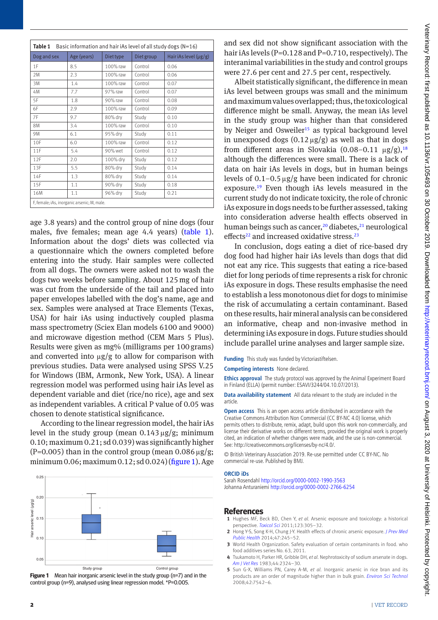| Table 1<br>Basic information and hair iAs level of all study dogs (N=16) |             |           |            |                            |
|--------------------------------------------------------------------------|-------------|-----------|------------|----------------------------|
| Dog and sex                                                              | Age (years) | Diet type | Diet group | Hair iAs level $(\mu g/g)$ |
| 1F                                                                       | 8.5         | 100% raw  | Control    | 0.06                       |
| 2M                                                                       | 2.3         | 100% raw  | Control    | 0.06                       |
| 3M                                                                       | 1.4         | 100% raw  | Control    | 0.07                       |
| 4M                                                                       | 7.7         | 97% raw   | Control    | 0.07                       |
| 5F                                                                       | 1.8         | 90% raw   | Control    | 0.08                       |
| 6F                                                                       | 2.9         | 100% raw  | Control    | 0.09                       |
| 7F                                                                       | 9.7         | 80% dry   | Study      | 0.10                       |
| <b>8M</b>                                                                | 3.4         | 100% raw  | Control    | 0.10                       |
| 9M                                                                       | 6.1         | 95% dry   | Study      | 0.11                       |
| 10F                                                                      | 6.0         | 100% raw  | Control    | 0.12                       |
| 11F                                                                      | 5.4         | 90% wet   | Control    | 0.12                       |
| 12F                                                                      | 2.0         | 100% dry  | Study      | 0.12                       |
| 13F                                                                      | 5.5         | 80% dry   | Study      | 0.14                       |
| 14F                                                                      | 1.3         | 80% dry   | Study      | 0.14                       |
| 15F                                                                      | 1.1         | 90% dry   | Study      | 0.18                       |
| 16M                                                                      | 1.1         | 96% drv   | Study      | 0.21                       |
| F, female; iAs, inorganic arsenic; M, male.                              |             |           |            |                            |

age 3.8 years) and the control group of nine dogs (four males, five females; mean age 4.4 years) (table 1). Information about the dogs' diets was collected via a questionnaire which the owners completed before entering into the study. Hair samples were collected from all dogs. The owners were asked not to wash the dogs two weeks before sampling. About 125mg of hair was cut from the underside of the tail and placed into paper envelopes labelled with the dog's name, age and sex. Samples were analysed at Trace Elements (Texas, USA) for hair iAs using inductively coupled plasma mass spectrometry (Sciex Elan models 6100 and 9000) and microwave digestion method (CEM Mars 5 Plus). Results were given as mg% (milligrams per 100grams) and converted into  $\mu$ g/g to allow for comparison with previous studies. Data were analysed using SPSS V.25 for Windows (IBM, Armonk, New York, USA). A linear regression model was performed using hair iAs level as dependent variable and diet (rice/no rice), age and sex as independent variables. A critical P value of 0.05 was chosen to denote statistical significance.

According to the linear regression model, the hair iAs level in the study group (mean  $0.143 \mu$ g/g; minimum 0.10; maximum 0.21; sd 0.039) was significantly higher  $(P=0.005)$  than in the control group (mean 0.086  $\mu$ g/g; minimum 0.06; maximum 0.12; sd 0.024) (figure 1). Age



**Figure 1** Mean hair inorganic arsenic level in the study group (n=7) and in the control group (n=9), analysed using linear regression model. \*P=0.005.

and sex did not show significant association with the hair iAs levels (P=0.128 and P=0.710, respectively). The interanimal variabilities in the study and control groups were 27.6 per cent and 27.5 per cent, respectively.

Albeit statistically significant, the difference in mean iAs level between groups was small and the minimum and maximum values overlapped; thus, the toxicological difference might be small. Anyway, the mean iAs level in the study group was higher than that considered by Neiger and Osweiler<sup>15</sup> as typical background level in unexposed dogs  $(0.12 \mu g/g)$  as well as that in dogs from different areas in Slovakia  $(0.08-0.11 \text{ µg/g})$ ,<sup>18</sup> although the differences were small. There is a lack of data on hair iAs levels in dogs, but in human beings levels of  $0.1-0.5 \mu g/g$  have been indicated for chronic exposure.19 Even though iAs levels measured in the current study do not indicate toxicity, the role of chronic iAs exposure in dogs needs to be further assessed, taking into consideration adverse health effects observed in human beings such as cancer,<sup>20</sup> diabetes,<sup>21</sup> neurological effects<sup>22</sup> and increased oxidative stress.<sup>23</sup>

In conclusion, dogs eating a diet of rice-based dry dog food had higher hair iAs levels than dogs that did not eat any rice. This suggests that eating a rice-based diet for long periods of time represents a risk for chronic iAs exposure in dogs. These results emphasise the need to establish a less monotonous diet for dogs to minimise the risk of accumulating a certain contaminant. Based on these results, hair mineral analysis can be considered an informative, cheap and non-invasive method in determining iAs exposure in dogs. Future studies should include parallel urine analyses and larger sample size.

**Funding** This study was funded by Victoriastiftelsen.

**Competing interests** None declared.

**Ethics approval** The study protocol was approved by the Animal Experiment Board in Finland (ELLA) (permit number: ESAVI/3244/04.10.07/2013).

**Data availability statement** All data relevant to the study are included in the article.

**Open access** This is an open access article distributed in accordance with the Creative Commons Attribution Non Commercial (CC BY-NC 4.0) license, which permits others to distribute, remix, adapt, build upon this work non-commercially, and license their derivative works on different terms, provided the original work is properly cited, an indication of whether changes were made, and the use is non-commercial. See: [http://creativecommons.org/licenses/by-nc/4.0/.](http://creativecommons.org/licenses/by-nc/4.0/)

© British Veterinary Association 2019. Re-use permitted under CC BY-NC. No commercial re-use. Published by BMJ.

#### **ORCID iDs**

Sarah Rosendahl<http://orcid.org/0000-0002-1990-3563> Johanna Anturaniemi <http://orcid.org/0000-0002-2766-6254>

#### **References**

- **1** Hughes MF, Beck BD, Chen Y, *et al*. Arsenic exposure and toxicology: a historical perspective. *[Toxicol Sci](http://dx.doi.org/10.1093/toxsci/kfr184)* 2011;123:305–32.
- **2** Hong Y-S, Song K-H, Chung J-Y. Health effects of chronic arsenic exposure. *[J Prev Med](http://dx.doi.org/10.3961/jpmph.14.035) [Public Health](http://dx.doi.org/10.3961/jpmph.14.035)* 2014;47:245–52.
- **3** World Health Organization. Safety evaluation of certain contaminants in food. who food additives series No. 63, 2011.
- **4** Tsukamoto H, Parker HR, Gribble DH, *et al*. Nephrotoxicity of sodium arsenate in dogs. *[Am J Vet Res](http://www.ncbi.nlm.nih.gov/pubmed/6686417)* 1983;44:2324–30.
- **5** Sun G-X, Williams PN, Carey A-M, *et al*. Inorganic arsenic in rice bran and its products are an order of magnitude higher than in bulk grain. *[Environ Sci Technol](http://dx.doi.org/10.1021/es801238p)* 2008;42:7542–6.